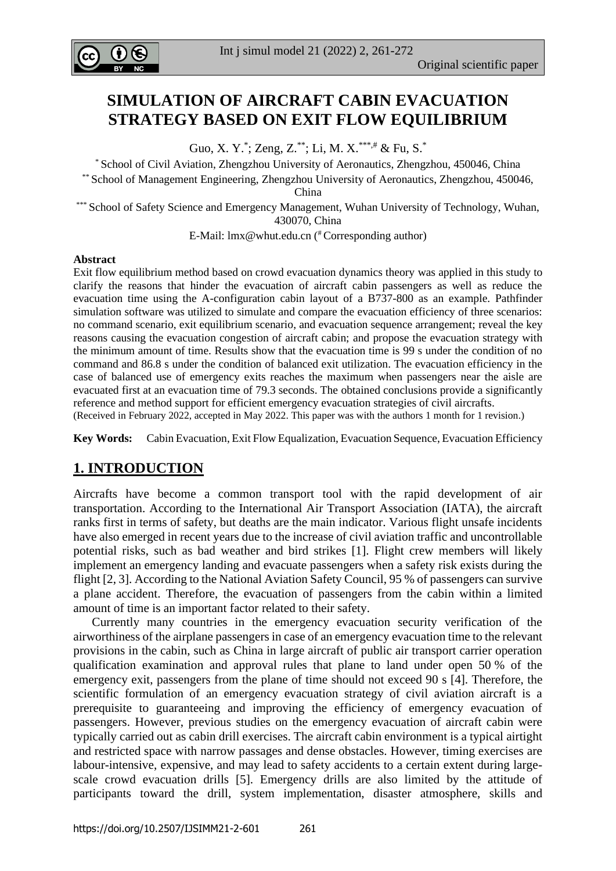

# **SIMULATION OF AIRCRAFT CABIN EVACUATION STRATEGY BASED ON EXIT FLOW EQUILIBRIUM**

Guo, X. Y.\* ; Zeng, Z.\*\*; Li, M. X.\*\*\*,# & Fu, S.\*

\* School of Civil Aviation, Zhengzhou University of Aeronautics, Zhengzhou, 450046, China

\*\* School of Management Engineering, Zhengzhou University of Aeronautics, Zhengzhou, 450046,

China

\*\*\* School of Safety Science and Emergency Management, Wuhan University of Technology, Wuhan, 430070, China

E-Mail: [lmx@whut.edu.cn](mailto:lmx@whut.edu.cn) ( #Corresponding author)

### **Abstract**

Exit flow equilibrium method based on crowd evacuation dynamics theory was applied in this study to clarify the reasons that hinder the evacuation of aircraft cabin passengers as well as reduce the evacuation time using the A-configuration cabin layout of a B737-800 as an example. Pathfinder simulation software was utilized to simulate and compare the evacuation efficiency of three scenarios: no command scenario, exit equilibrium scenario, and evacuation sequence arrangement; reveal the key reasons causing the evacuation congestion of aircraft cabin; and propose the evacuation strategy with the minimum amount of time. Results show that the evacuation time is 99 s under the condition of no command and 86.8 s under the condition of balanced exit utilization. The evacuation efficiency in the case of balanced use of emergency exits reaches the maximum when passengers near the aisle are evacuated first at an evacuation time of 79.3 seconds. The obtained conclusions provide a significantly reference and method support for efficient emergency evacuation strategies of civil aircrafts. (Received in February 2022, accepted in May 2022. This paper was with the authors 1 month for 1 revision.)

**Key Words:** Cabin Evacuation, Exit Flow Equalization, Evacuation Sequence, Evacuation Efficiency

# **1. INTRODUCTION**

Aircrafts have become a common transport tool with the rapid development of air transportation. According to the International Air Transport Association (IATA), the aircraft ranks first in terms of safety, but deaths are the main indicator. Various flight unsafe incidents have also emerged in recent years due to the increase of civil aviation traffic and uncontrollable potential risks, such as bad weather and bird strikes [1]. Flight crew members will likely implement an emergency landing and evacuate passengers when a safety risk exists during the flight [2, 3]. According to the National Aviation Safety Council, 95 % of passengers can survive a plane accident. Therefore, the evacuation of passengers from the cabin within a limited amount of time is an important factor related to their safety.

 Currently many countries in the emergency evacuation security verification of the airworthiness of the airplane passengers in case of an emergency evacuation time to the relevant provisions in the cabin, such as China in large aircraft of public air transport carrier operation qualification examination and approval rules that plane to land under open 50 % of the emergency exit, passengers from the plane of time should not exceed 90 s [4]. Therefore, the scientific formulation of an emergency evacuation strategy of civil aviation aircraft is a prerequisite to guaranteeing and improving the efficiency of emergency evacuation of passengers. However, previous studies on the emergency evacuation of aircraft cabin were typically carried out as cabin drill exercises. The aircraft cabin environment is a typical airtight and restricted space with narrow passages and dense obstacles. However, timing exercises are labour-intensive, expensive, and may lead to safety accidents to a certain extent during largescale crowd evacuation drills [5]. Emergency drills are also limited by the attitude of participants toward the drill, system implementation, disaster atmosphere, skills and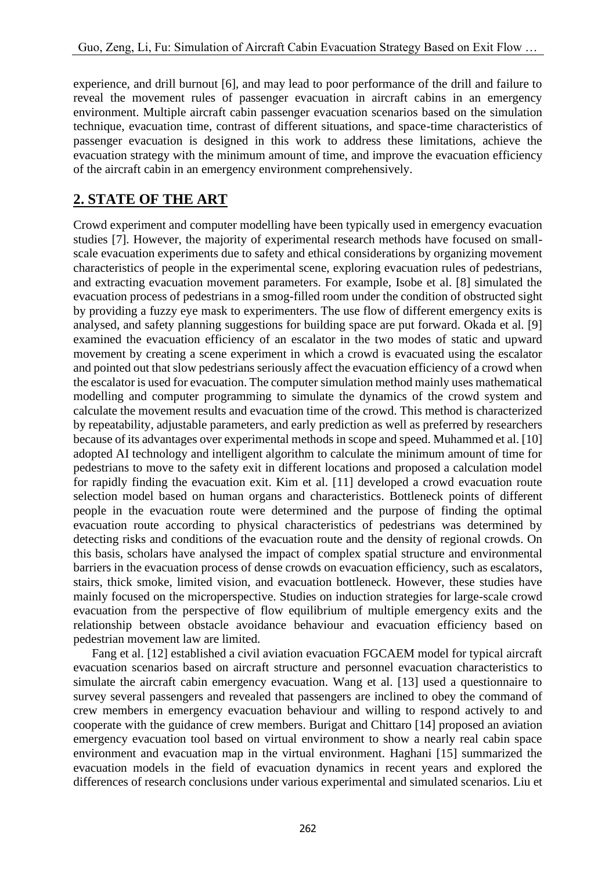experience, and drill burnout [6], and may lead to poor performance of the drill and failure to reveal the movement rules of passenger evacuation in aircraft cabins in an emergency environment. Multiple aircraft cabin passenger evacuation scenarios based on the simulation technique, evacuation time, contrast of different situations, and space-time characteristics of passenger evacuation is designed in this work to address these limitations, achieve the evacuation strategy with the minimum amount of time, and improve the evacuation efficiency of the aircraft cabin in an emergency environment comprehensively.

# **2. STATE OF THE ART**

Crowd experiment and computer modelling have been typically used in emergency evacuation studies [7]. However, the majority of experimental research methods have focused on smallscale evacuation experiments due to safety and ethical considerations by organizing movement characteristics of people in the experimental scene, exploring evacuation rules of pedestrians, and extracting evacuation movement parameters. For example, Isobe et al. [8] simulated the evacuation process of pedestrians in a smog-filled room under the condition of obstructed sight by providing a fuzzy eye mask to experimenters. The use flow of different emergency exits is analysed, and safety planning suggestions for building space are put forward. Okada et al. [9] examined the evacuation efficiency of an escalator in the two modes of static and upward movement by creating a scene experiment in which a crowd is evacuated using the escalator and pointed out that slow pedestrians seriously affect the evacuation efficiency of a crowd when the escalator is used for evacuation. The computer simulation method mainly uses mathematical modelling and computer programming to simulate the dynamics of the crowd system and calculate the movement results and evacuation time of the crowd. This method is characterized by repeatability, adjustable parameters, and early prediction as well as preferred by researchers because of its advantages over experimental methods in scope and speed. Muhammed et al. [10] adopted AI technology and intelligent algorithm to calculate the minimum amount of time for pedestrians to move to the safety exit in different locations and proposed a calculation model for rapidly finding the evacuation exit. Kim et al. [11] developed a crowd evacuation route selection model based on human organs and characteristics. Bottleneck points of different people in the evacuation route were determined and the purpose of finding the optimal evacuation route according to physical characteristics of pedestrians was determined by detecting risks and conditions of the evacuation route and the density of regional crowds. On this basis, scholars have analysed the impact of complex spatial structure and environmental barriers in the evacuation process of dense crowds on evacuation efficiency, such as escalators, stairs, thick smoke, limited vision, and evacuation bottleneck. However, these studies have mainly focused on the microperspective. Studies on induction strategies for large-scale crowd evacuation from the perspective of flow equilibrium of multiple emergency exits and the relationship between obstacle avoidance behaviour and evacuation efficiency based on pedestrian movement law are limited.

 Fang et al. [12] established a civil aviation evacuation FGCAEM model for typical aircraft evacuation scenarios based on aircraft structure and personnel evacuation characteristics to simulate the aircraft cabin emergency evacuation. Wang et al. [13] used a questionnaire to survey several passengers and revealed that passengers are inclined to obey the command of crew members in emergency evacuation behaviour and willing to respond actively to and cooperate with the guidance of crew members. Burigat and Chittaro [14] proposed an aviation emergency evacuation tool based on virtual environment to show a nearly real cabin space environment and evacuation map in the virtual environment. Haghani [15] summarized the evacuation models in the field of evacuation dynamics in recent years and explored the differences of research conclusions under various experimental and simulated scenarios. Liu et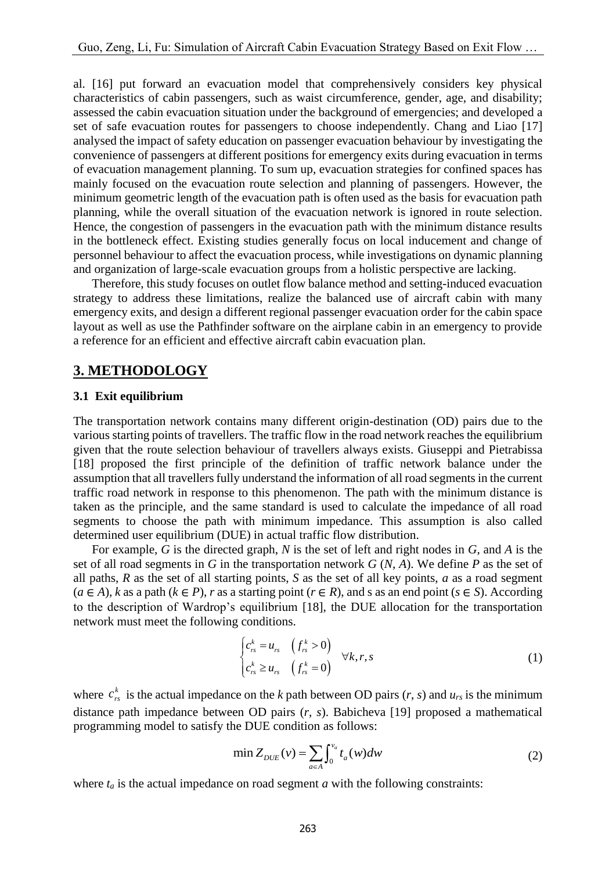al. [16] put forward an evacuation model that comprehensively considers key physical characteristics of cabin passengers, such as waist circumference, gender, age, and disability; assessed the cabin evacuation situation under the background of emergencies; and developed a set of safe evacuation routes for passengers to choose independently. Chang and Liao [17] analysed the impact of safety education on passenger evacuation behaviour by investigating the convenience of passengers at different positions for emergency exits during evacuation in terms of evacuation management planning. To sum up, evacuation strategies for confined spaces has mainly focused on the evacuation route selection and planning of passengers. However, the minimum geometric length of the evacuation path is often used as the basis for evacuation path planning, while the overall situation of the evacuation network is ignored in route selection. Hence, the congestion of passengers in the evacuation path with the minimum distance results in the bottleneck effect. Existing studies generally focus on local inducement and change of personnel behaviour to affect the evacuation process, while investigations on dynamic planning and organization of large-scale evacuation groups from a holistic perspective are lacking.

 Therefore, this study focuses on outlet flow balance method and setting-induced evacuation strategy to address these limitations, realize the balanced use of aircraft cabin with many emergency exits, and design a different regional passenger evacuation order for the cabin space layout as well as use the Pathfinder software on the airplane cabin in an emergency to provide a reference for an efficient and effective aircraft cabin evacuation plan.

# **3. METHODOLOGY**

### **3.1 Exit equilibrium**

The transportation network contains many different origin-destination (OD) pairs due to the various starting points of travellers. The traffic flow in the road network reaches the equilibrium given that the route selection behaviour of travellers always exists. Giuseppi and Pietrabissa [18] proposed the first principle of the definition of traffic network balance under the assumption that all travellers fully understand the information of all road segments in the current traffic road network in response to this phenomenon. The path with the minimum distance is taken as the principle, and the same standard is used to calculate the impedance of all road segments to choose the path with minimum impedance. This assumption is also called determined user equilibrium (DUE) in actual traffic flow distribution.

 For example, *G* is the directed graph, *N* is the set of left and right nodes in *G*, and *A* is the set of all road segments in *G* in the transportation network *G* (*N*, *A*). We define *P* as the set of all paths, *R* as the set of all starting points, *S* as the set of all key points, *a* as a road segment  $(a ∈ A)$ , *k* as a path  $(k ∈ P)$ , *r* as a starting point  $(r ∈ R)$ , and s as an end point  $(s ∈ S)$ . According to the description of Wardrop's equilibrium [18], the DUE allocation for the transportation network must meet the following conditions.

$$
\begin{cases} c_{rs}^k = u_{rs} & (f_{rs}^k > 0) \\ c_{rs}^k \ge u_{rs} & (f_{rs}^k = 0) \end{cases} \forall k, r, s
$$
 (1)

where  $c_{r}^{k}$  $c_{rs}^k$  is the actual impedance on the *k* path between OD pairs (*r*, *s*) and  $u_{rs}$  is the minimum distance path impedance between OD pairs (*r*, *s*). Babicheva [19] proposed a mathematical programming model to satisfy the DUE condition as follows:

$$
\min Z_{DUE}(v) = \sum_{a \in A} \int_0^{v_a} t_a(w) dw \tag{2}
$$

where  $t_a$  is the actual impedance on road segment  $a$  with the following constraints: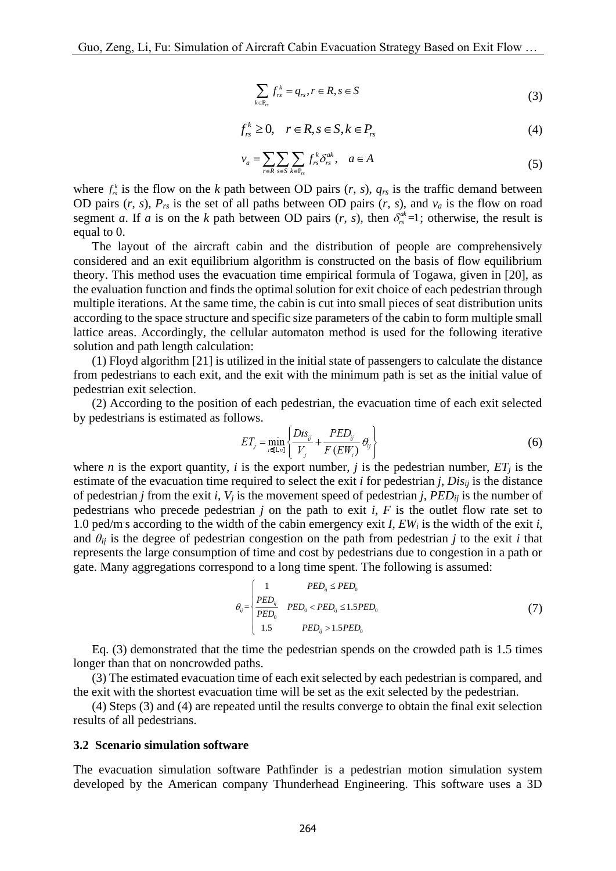$$
\sum_{k \in P_{rs}} f_{rs}^k = q_{rs}, r \in R, s \in S \tag{3}
$$

$$
f_{rs}^k \ge 0, \quad r \in R, s \in S, k \in P_{rs}
$$
\n
$$
\tag{4}
$$

$$
v_a = \sum_{r \in R} \sum_{s \in S} \sum_{k \in P_{rs}} f_{rs}^k \delta_{rs}^{ak}, \quad a \in A
$$

where  $f_s^k$  is the flow on the *k* path between OD pairs  $(r, s)$ ,  $q_{rs}$  is the traffic demand between OD pairs  $(r, s)$ ,  $P_{rs}$  is the set of all paths between OD pairs  $(r, s)$ , and  $v_a$  is the flow on road segment *a*. If *a* is on the *k* path between OD pairs  $(r, s)$ , then  $\delta_{rs}^{\alpha k} = 1$ ; otherwise, the result is equal to 0.

 The layout of the aircraft cabin and the distribution of people are comprehensively considered and an exit equilibrium algorithm is constructed on the basis of flow equilibrium theory. This method uses the evacuation time empirical formula of Togawa, given in [20], as the evaluation function and finds the optimal solution for exit choice of each pedestrian through multiple iterations. At the same time, the cabin is cut into small pieces of seat distribution units according to the space structure and specific size parameters of the cabin to form multiple small lattice areas. Accordingly, the cellular automaton method is used for the following iterative solution and path length calculation:

 (1) Floyd algorithm [21] is utilized in the initial state of passengers to calculate the distance from pedestrians to each exit, and the exit with the minimum path is set as the initial value of pedestrian exit selection.

 (2) According to the position of each pedestrian, the evacuation time of each exit selected by pedestrians is estimated as follows.

$$
ET_j = \min_{i \in [1,n]} \left\{ \frac{Dis_{ij}}{V_j} + \frac{PED_{ij}}{F(EW_i)} \theta_{ij} \right\}
$$
(6)

where *n* is the export quantity, *i* is the export number, *j* is the pedestrian number,  $ET_j$  is the estimate of the evacuation time required to select the exit *i* for pedestrian *j*,  $Dis_{ij}$  is the distance of pedestrian *j* from the exit *i*,  $V_i$  is the movement speed of pedestrian *j*,  $PED_{ij}$  is the number of pedestrians who precede pedestrian *j* on the path to exit *i*, *F* is the outlet flow rate set to 1.0 ped/m. s according to the width of the cabin emergency exit *I*, *EW<sup>i</sup>* is the width of the exit *i*, and  $\theta_{ij}$  is the degree of pedestrian congestion on the path from pedestrian *j* to the exit *i* that represents the large consumption of time and cost by pedestrians due to congestion in a path or gate. Many aggregations correspond to a long time spent. The following is assumed:

$$
\theta_{ij} = \begin{cases}\n1 & PED_{ij} \leq PED_0 \\
\frac{PED_{ij}}{PED_0} & PED_0 < PED_{ij} \leq 1.5PED_0 \\
1.5 & PED_{ij} > 1.5PED_0\n\end{cases} \tag{7}
$$

 Eq. (3) demonstrated that the time the pedestrian spends on the crowded path is 1.5 times longer than that on noncrowded paths.

 (3) The estimated evacuation time of each exit selected by each pedestrian is compared, and the exit with the shortest evacuation time will be set as the exit selected by the pedestrian.

 (4) Steps (3) and (4) are repeated until the results converge to obtain the final exit selection results of all pedestrians.

#### **3.2 Scenario simulation software**

The evacuation simulation software Pathfinder is a pedestrian motion simulation system developed by the American company Thunderhead Engineering. This software uses a 3D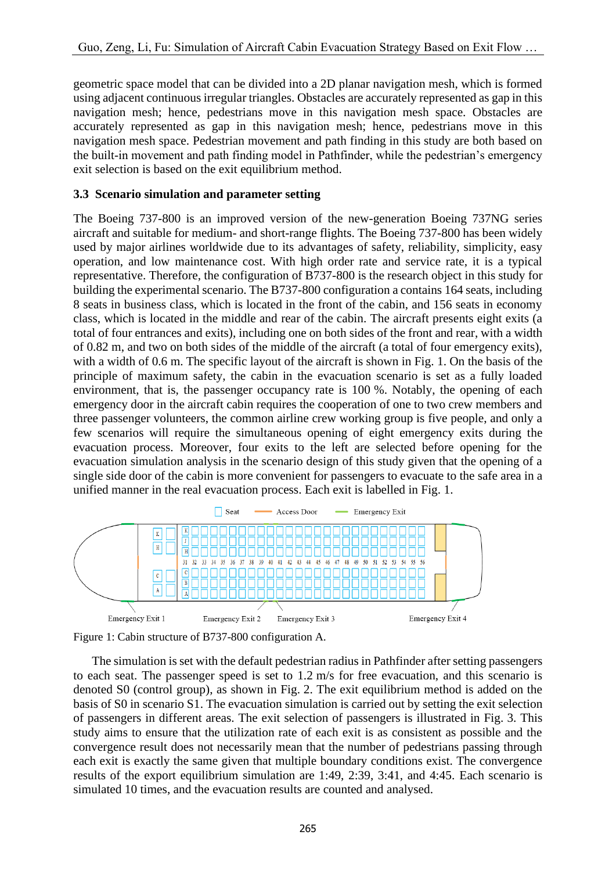geometric space model that can be divided into a 2D planar navigation mesh, which is formed using adjacent continuous irregular triangles. Obstacles are accurately represented as gap in this navigation mesh; hence, pedestrians move in this navigation mesh space. Obstacles are accurately represented as gap in this navigation mesh; hence, pedestrians move in this navigation mesh space. Pedestrian movement and path finding in this study are both based on the built-in movement and path finding model in Pathfinder, while the pedestrian's emergency exit selection is based on the exit equilibrium method.

## **3.3 Scenario simulation and parameter setting**

The Boeing 737-800 is an improved version of the new-generation Boeing 737NG series aircraft and suitable for medium- and short-range flights. The Boeing 737-800 has been widely used by major airlines worldwide due to its advantages of safety, reliability, simplicity, easy operation, and low maintenance cost. With high order rate and service rate, it is a typical representative. Therefore, the configuration of B737-800 is the research object in this study for building the experimental scenario. The B737-800 configuration a contains 164 seats, including 8 seats in business class, which is located in the front of the cabin, and 156 seats in economy class, which is located in the middle and rear of the cabin. The aircraft presents eight exits (a total of four entrances and exits), including one on both sides of the front and rear, with a width of 0.82 m, and two on both sides of the middle of the aircraft (a total of four emergency exits), with a width of 0.6 m. The specific layout of the aircraft is shown in Fig. 1. On the basis of the principle of maximum safety, the cabin in the evacuation scenario is set as a fully loaded environment, that is, the passenger occupancy rate is 100 %. Notably, the opening of each emergency door in the aircraft cabin requires the cooperation of one to two crew members and three passenger volunteers, the common airline crew working group is five people, and only a few scenarios will require the simultaneous opening of eight emergency exits during the evacuation process. Moreover, four exits to the left are selected before opening for the evacuation simulation analysis in the scenario design of this study given that the opening of a single side door of the cabin is more convenient for passengers to evacuate to the safe area in a unified manner in the real evacuation process. Each exit is labelled in Fig. 1.



Figure 1: Cabin structure of B737-800 configuration A.

 The simulation is set with the default pedestrian radius in Pathfinder after setting passengers to each seat. The passenger speed is set to 1.2 m/s for free evacuation, and this scenario is denoted S0 (control group), as shown in Fig. 2. The exit equilibrium method is added on the basis of S0 in scenario S1. The evacuation simulation is carried out by setting the exit selection of passengers in different areas. The exit selection of passengers is illustrated in Fig. 3. This study aims to ensure that the utilization rate of each exit is as consistent as possible and the convergence result does not necessarily mean that the number of pedestrians passing through each exit is exactly the same given that multiple boundary conditions exist. The convergence results of the export equilibrium simulation are 1:49, 2:39, 3:41, and 4:45. Each scenario is simulated 10 times, and the evacuation results are counted and analysed.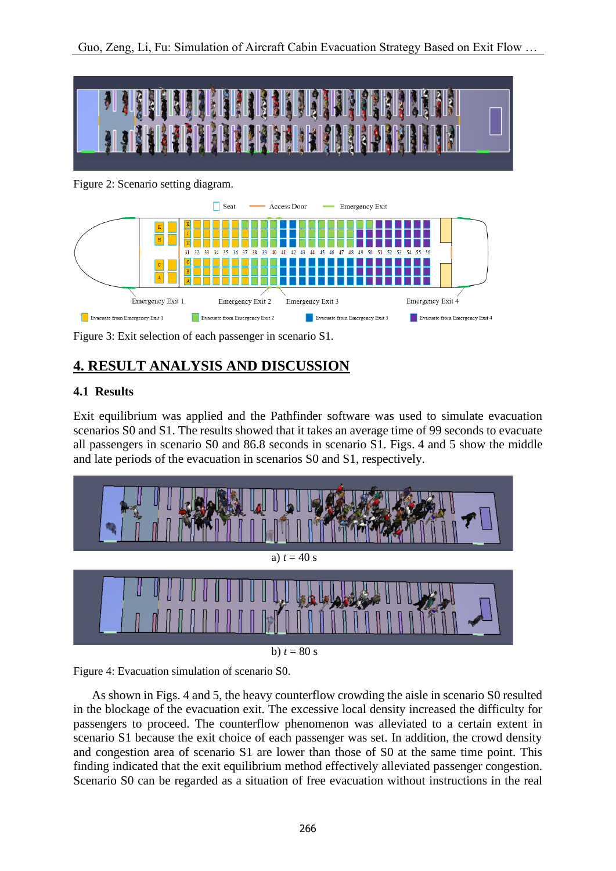

Figure 2: Scenario setting diagram.



Figure 3: Exit selection of each passenger in scenario S1.

# **4. RESULT ANALYSIS AND DISCUSSION**

# **4.1 Results**

Exit equilibrium was applied and the Pathfinder software was used to simulate evacuation scenarios S0 and S1. The results showed that it takes an average time of 99 seconds to evacuate all passengers in scenario S0 and 86.8 seconds in scenario S1. Figs. 4 and 5 show the middle and late periods of the evacuation in scenarios S0 and S1, respectively.





 As shown in Figs. 4 and 5, the heavy counterflow crowding the aisle in scenario S0 resulted in the blockage of the evacuation exit. The excessive local density increased the difficulty for passengers to proceed. The counterflow phenomenon was alleviated to a certain extent in scenario S1 because the exit choice of each passenger was set. In addition, the crowd density and congestion area of scenario S1 are lower than those of S0 at the same time point. This finding indicated that the exit equilibrium method effectively alleviated passenger congestion. Scenario S0 can be regarded as a situation of free evacuation without instructions in the real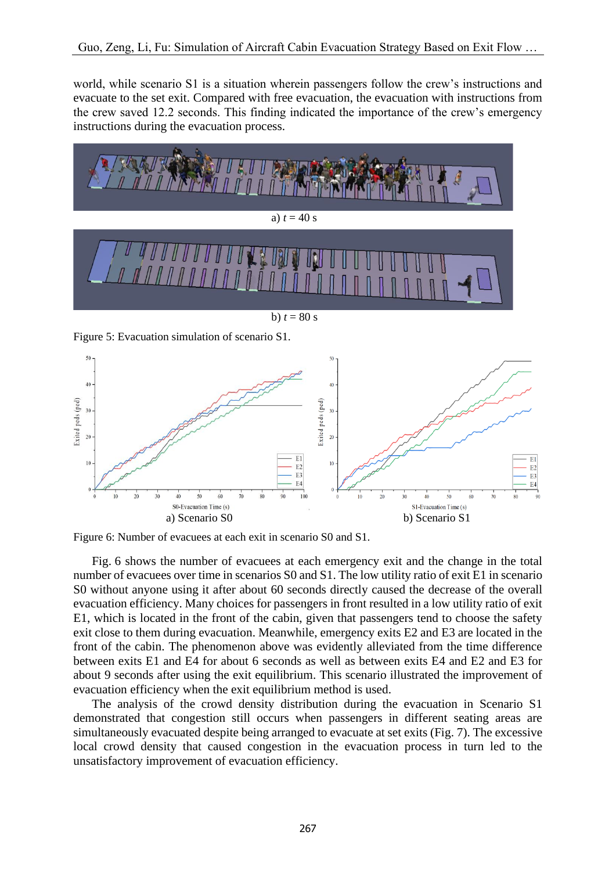world, while scenario S1 is a situation wherein passengers follow the crew's instructions and evacuate to the set exit. Compared with free evacuation, the evacuation with instructions from the crew saved 12.2 seconds. This finding indicated the importance of the crew's emergency instructions during the evacuation process.



b)  $t = 80$  s

Figure 5: Evacuation simulation of scenario S1.



Figure 6: Number of evacuees at each exit in scenario S0 and S1.

 Fig. 6 shows the number of evacuees at each emergency exit and the change in the total number of evacuees over time in scenarios S0 and S1. The low utility ratio of exit E1 in scenario S0 without anyone using it after about 60 seconds directly caused the decrease of the overall evacuation efficiency. Many choices for passengers in front resulted in a low utility ratio of exit E1, which is located in the front of the cabin, given that passengers tend to choose the safety exit close to them during evacuation. Meanwhile, emergency exits E2 and E3 are located in the front of the cabin. The phenomenon above was evidently alleviated from the time difference between exits E1 and E4 for about 6 seconds as well as between exits E4 and E2 and E3 for about 9 seconds after using the exit equilibrium. This scenario illustrated the improvement of evacuation efficiency when the exit equilibrium method is used.

 The analysis of the crowd density distribution during the evacuation in Scenario S1 demonstrated that congestion still occurs when passengers in different seating areas are simultaneously evacuated despite being arranged to evacuate at set exits (Fig. 7). The excessive local crowd density that caused congestion in the evacuation process in turn led to the unsatisfactory improvement of evacuation efficiency.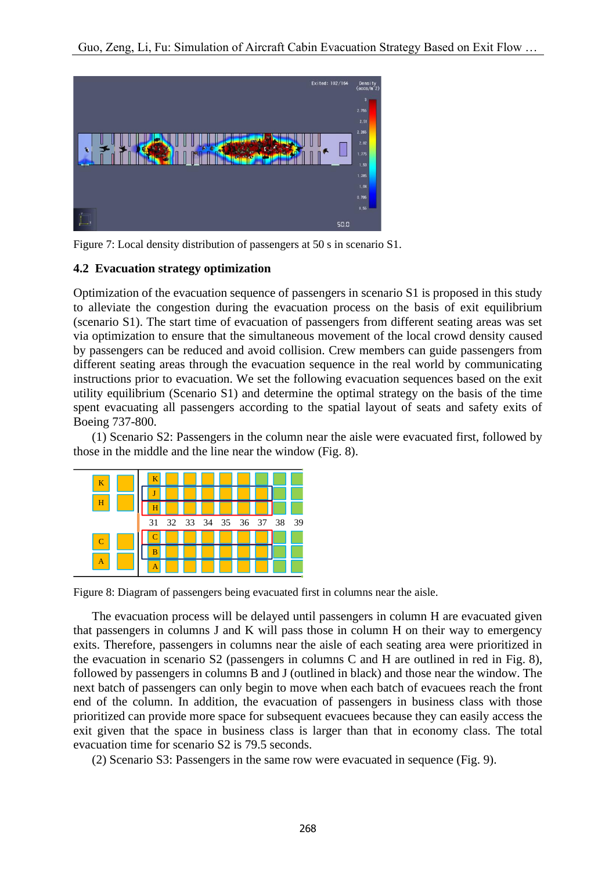

Figure 7: Local density distribution of passengers at 50 s in scenario S1.

## **4.2 Evacuation strategy optimization**

Optimization of the evacuation sequence of passengers in scenario S1 is proposed in this study to alleviate the congestion during the evacuation process on the basis of exit equilibrium (scenario S1). The start time of evacuation of passengers from different seating areas was set via optimization to ensure that the simultaneous movement of the local crowd density caused by passengers can be reduced and avoid collision. Crew members can guide passengers from different seating areas through the evacuation sequence in the real world by communicating instructions prior to evacuation. We set the following evacuation sequences based on the exit utility equilibrium (Scenario S1) and determine the optimal strategy on the basis of the time spent evacuating all passengers according to the spatial layout of seats and safety exits of Boeing 737-800.

 (1) Scenario S2: Passengers in the column near the aisle were evacuated first, followed by those in the middle and the line near the window (Fig. 8).



Figure 8: Diagram of passengers being evacuated first in columns near the aisle.

The evacuation process will be delayed until passengers in column H are evacuated given that passengers in columns J and K will pass those in column H on their way to emergency exits. Therefore, passengers in columns near the aisle of each seating area were prioritized in the evacuation in scenario S2 (passengers in columns C and H are outlined in red in Fig. 8), followed by passengers in columns B and J (outlined in black) and those near the window. The next batch of passengers can only begin to move when each batch of evacuees reach the front end of the column. In addition, the evacuation of passengers in business class with those prioritized can provide more space for subsequent evacuees because they can easily access the exit given that the space in business class is larger than that in economy class. The total evacuation time for scenario S2 is 79.5 seconds.

(2) Scenario S3: Passengers in the same row were evacuated in sequence (Fig. 9).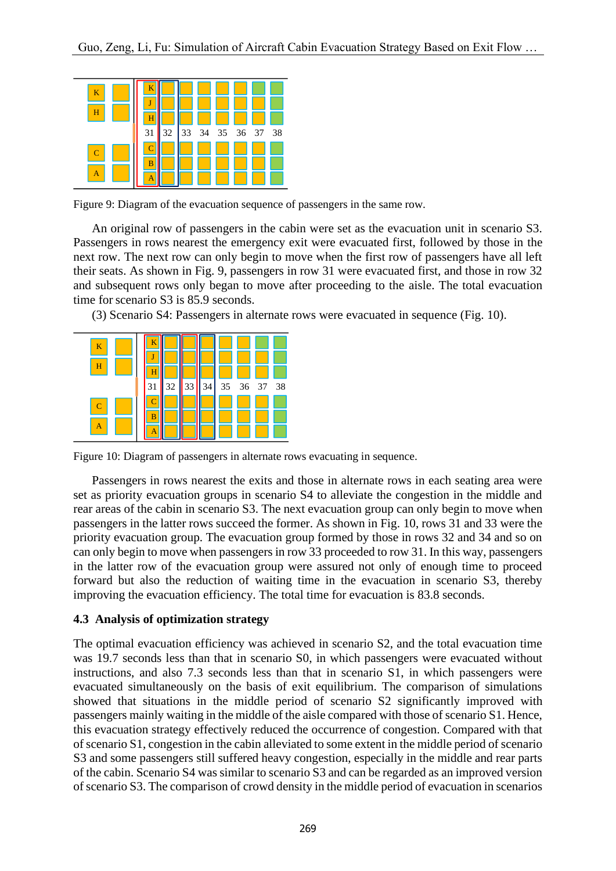

Figure 9: Diagram of the evacuation sequence of passengers in the same row.

An original row of passengers in the cabin were set as the evacuation unit in scenario S3. Passengers in rows nearest the emergency exit were evacuated first, followed by those in the next row. The next row can only begin to move when the first row of passengers have all left their seats. As shown in Fig. 9, passengers in row 31 were evacuated first, and those in row 32 and subsequent rows only began to move after proceeding to the aisle. The total evacuation time for scenario S3 is 85.9 seconds.

(3) Scenario S4: Passengers in alternate rows were evacuated in sequence (Fig. 10).



Figure 10: Diagram of passengers in alternate rows evacuating in sequence.

Passengers in rows nearest the exits and those in alternate rows in each seating area were set as priority evacuation groups in scenario S4 to alleviate the congestion in the middle and rear areas of the cabin in scenario S3. The next evacuation group can only begin to move when passengers in the latter rows succeed the former. As shown in Fig. 10, rows 31 and 33 were the priority evacuation group. The evacuation group formed by those in rows 32 and 34 and so on can only begin to move when passengers in row 33 proceeded to row 31. In this way, passengers in the latter row of the evacuation group were assured not only of enough time to proceed forward but also the reduction of waiting time in the evacuation in scenario S3, thereby improving the evacuation efficiency. The total time for evacuation is 83.8 seconds.

## **4.3 Analysis of optimization strategy**

The optimal evacuation efficiency was achieved in scenario S2, and the total evacuation time was 19.7 seconds less than that in scenario S0, in which passengers were evacuated without instructions, and also 7.3 seconds less than that in scenario S1, in which passengers were evacuated simultaneously on the basis of exit equilibrium. The comparison of simulations showed that situations in the middle period of scenario S2 significantly improved with passengers mainly waiting in the middle of the aisle compared with those of scenario S1. Hence, this evacuation strategy effectively reduced the occurrence of congestion. Compared with that of scenario S1, congestion in the cabin alleviated to some extent in the middle period of scenario S3 and some passengers still suffered heavy congestion, especially in the middle and rear parts of the cabin. Scenario S4 was similar to scenario S3 and can be regarded as an improved version of scenario S3. The comparison of crowd density in the middle period of evacuation in scenarios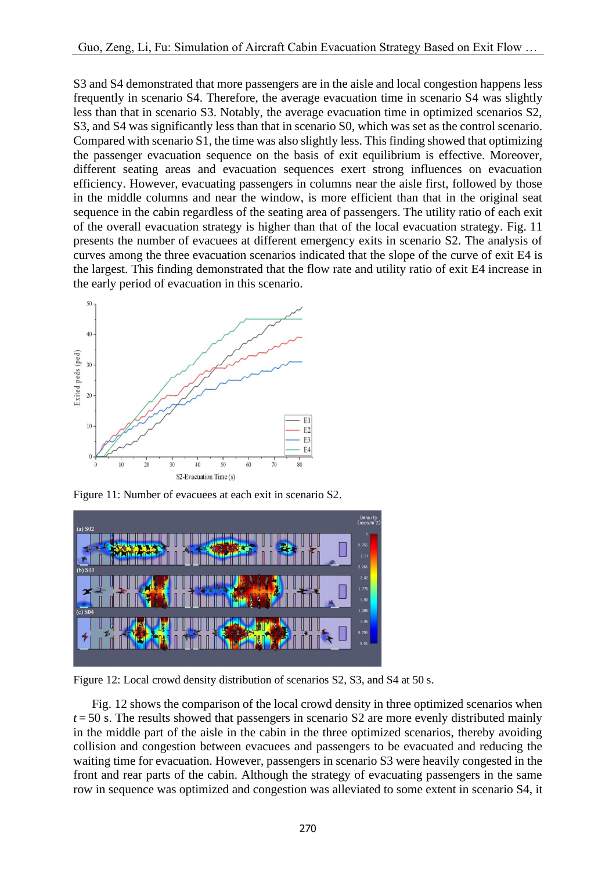S3 and S4 demonstrated that more passengers are in the aisle and local congestion happens less frequently in scenario S4. Therefore, the average evacuation time in scenario S4 was slightly less than that in scenario S3. Notably, the average evacuation time in optimized scenarios S2, S3, and S4 was significantly less than that in scenario S0, which was set as the control scenario. Compared with scenario S1, the time was also slightly less. This finding showed that optimizing the passenger evacuation sequence on the basis of exit equilibrium is effective. Moreover, different seating areas and evacuation sequences exert strong influences on evacuation efficiency. However, evacuating passengers in columns near the aisle first, followed by those in the middle columns and near the window, is more efficient than that in the original seat sequence in the cabin regardless of the seating area of passengers. The utility ratio of each exit of the overall evacuation strategy is higher than that of the local evacuation strategy. Fig. 11 presents the number of evacuees at different emergency exits in scenario S2. The analysis of curves among the three evacuation scenarios indicated that the slope of the curve of exit E4 is the largest. This finding demonstrated that the flow rate and utility ratio of exit E4 increase in the early period of evacuation in this scenario.



Figure 11: Number of evacuees at each exit in scenario S2.



Figure 12: Local crowd density distribution of scenarios S2, S3, and S4 at 50 s.

 Fig. 12 shows the comparison of the local crowd density in three optimized scenarios when  $t = 50$  s. The results showed that passengers in scenario S2 are more evenly distributed mainly in the middle part of the aisle in the cabin in the three optimized scenarios, thereby avoiding collision and congestion between evacuees and passengers to be evacuated and reducing the waiting time for evacuation. However, passengers in scenario S3 were heavily congested in the front and rear parts of the cabin. Although the strategy of evacuating passengers in the same row in sequence was optimized and congestion was alleviated to some extent in scenario S4, it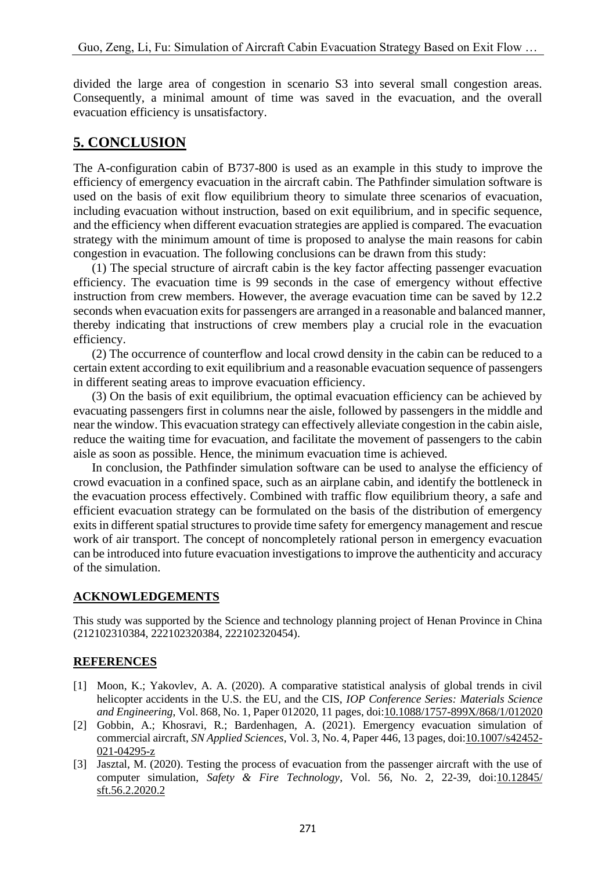divided the large area of congestion in scenario S3 into several small congestion areas. Consequently, a minimal amount of time was saved in the evacuation, and the overall evacuation efficiency is unsatisfactory.

# **5. CONCLUSION**

The A-configuration cabin of B737-800 is used as an example in this study to improve the efficiency of emergency evacuation in the aircraft cabin. The Pathfinder simulation software is used on the basis of exit flow equilibrium theory to simulate three scenarios of evacuation, including evacuation without instruction, based on exit equilibrium, and in specific sequence, and the efficiency when different evacuation strategies are applied is compared. The evacuation strategy with the minimum amount of time is proposed to analyse the main reasons for cabin congestion in evacuation. The following conclusions can be drawn from this study:

 (1) The special structure of aircraft cabin is the key factor affecting passenger evacuation efficiency. The evacuation time is 99 seconds in the case of emergency without effective instruction from crew members. However, the average evacuation time can be saved by 12.2 seconds when evacuation exits for passengers are arranged in a reasonable and balanced manner, thereby indicating that instructions of crew members play a crucial role in the evacuation efficiency.

 (2) The occurrence of counterflow and local crowd density in the cabin can be reduced to a certain extent according to exit equilibrium and a reasonable evacuation sequence of passengers in different seating areas to improve evacuation efficiency.

 (3) On the basis of exit equilibrium, the optimal evacuation efficiency can be achieved by evacuating passengers first in columns near the aisle, followed by passengers in the middle and near the window. This evacuation strategy can effectively alleviate congestion in the cabin aisle, reduce the waiting time for evacuation, and facilitate the movement of passengers to the cabin aisle as soon as possible. Hence, the minimum evacuation time is achieved.

 In conclusion, the Pathfinder simulation software can be used to analyse the efficiency of crowd evacuation in a confined space, such as an airplane cabin, and identify the bottleneck in the evacuation process effectively. Combined with traffic flow equilibrium theory, a safe and efficient evacuation strategy can be formulated on the basis of the distribution of emergency exits in different spatial structures to provide time safety for emergency management and rescue work of air transport. The concept of noncompletely rational person in emergency evacuation can be introduced into future evacuation investigations to improve the authenticity and accuracy of the simulation.

# **ACKNOWLEDGEMENTS**

This study was supported by the Science and technology planning project of Henan Province in China (212102310384, 222102320384, 222102320454).

# **REFERENCES**

- [1] Moon, K.; Yakovlev, A. A. (2020). A comparative statistical analysis of global trends in civil helicopter accidents in the U.S. the EU, and the CIS, *IOP Conference Series: Materials Science and Engineering*, Vol. 868, No. 1, Paper 012020, 11 pages, doi[:10.1088/1757-899X/868/1/012020](https://doi.org/10.1088/1757-899X/868/1/012020)
- [2] Gobbin, A.; Khosravi, R.; Bardenhagen, A. (2021). Emergency evacuation simulation of commercial aircraft, *SN Applied Sciences*, Vol. 3, No. 4, Paper 446, 13 pages, doi[:10.1007/s42452-](https://doi.org/10.1007/s42452-021-04295-z) [021-04295-z](https://doi.org/10.1007/s42452-021-04295-z)
- [3] Jasztal, M. (2020). Testing the process of evacuation from the passenger aircraft with the use of computer simulation, *Safety & Fire Technology*, Vol. 56, No. 2, 22-39, doi[:10.12845/](https://doi.org/10.12845/sft.56.2.2020.2) [sft.56.2.2020.2](https://doi.org/10.12845/sft.56.2.2020.2)